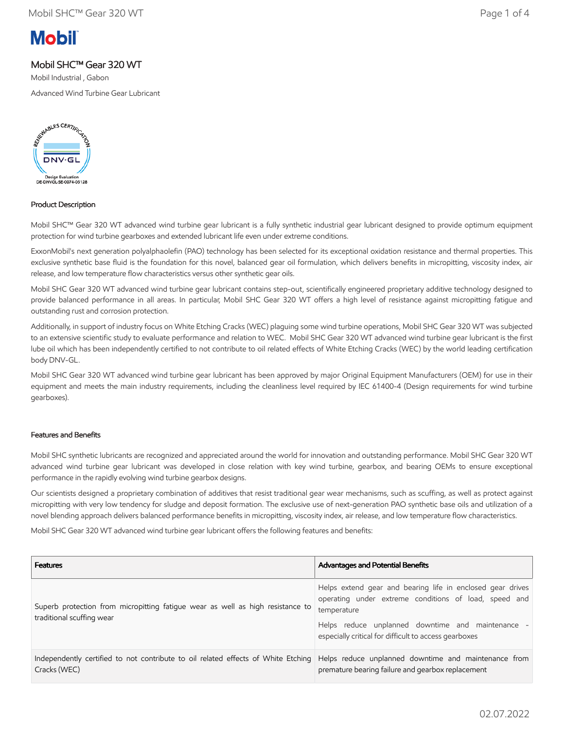# **Mobil**

## Mobil SHC™ Gear 320 WT

Mobil Industrial , Gabon

Advanced Wind Turbine Gear Lubricant



### Product Description

Mobil SHC™ Gear 320 WT advanced wind turbine gear lubricant is a fully synthetic industrial gear lubricant designed to provide optimum equipment protection for wind turbine gearboxes and extended lubricant life even under extreme conditions.

ExxonMobil's next generation polyalphaolefin (PAO) technology has been selected for its exceptional oxidation resistance and thermal properties. This exclusive synthetic base fluid is the foundation for this novel, balanced gear oil formulation, which delivers benefits in micropitting, viscosity index, air release, and low temperature flow characteristics versus other synthetic gear oils.

Mobil SHC Gear 320 WT advanced wind turbine gear lubricant contains step-out, scientifically engineered proprietary additive technology designed to provide balanced performance in all areas. In particular, Mobil SHC Gear 320 WT offers a high level of resistance against micropitting fatigue and outstanding rust and corrosion protection.

Additionally, in support of industry focus on White Etching Cracks (WEC) plaguing some wind turbine operations, Mobil SHC Gear 320 WT was subjected to an extensive scientific study to evaluate performance and relation to WEC. Mobil SHC Gear 320 WT advanced wind turbine gear lubricant is the first lube oil which has been independently certified to not contribute to oil related effects of White Etching Cracks (WEC) by the world leading certification body DNV-GL.

Mobil SHC Gear 320 WT advanced wind turbine gear lubricant has been approved by major Original Equipment Manufacturers (OEM) for use in their equipment and meets the main industry requirements, including the cleanliness level required by IEC 61400-4 (Design requirements for wind turbine gearboxes).

#### Features and Benefits

Mobil SHC synthetic lubricants are recognized and appreciated around the world for innovation and outstanding performance. Mobil SHC Gear 320 WT advanced wind turbine gear lubricant was developed in close relation with key wind turbine, gearbox, and bearing OEMs to ensure exceptional performance in the rapidly evolving wind turbine gearbox designs.

Our scientists designed a proprietary combination of additives that resist traditional gear wear mechanisms, such as scuffing, as well as protect against micropitting with very low tendency for sludge and deposit formation. The exclusive use of next-generation PAO synthetic base oils and utilization of a novel blending approach delivers balanced performance benefits in micropitting, viscosity index, air release, and low temperature flow characteristics.

Mobil SHC Gear 320 WT advanced wind turbine gear lubricant offers the following features and benefits:

| <b>Features</b>                                                                                             | <b>Advantages and Potential Benefits</b>                                                                                                                                                                                                         |
|-------------------------------------------------------------------------------------------------------------|--------------------------------------------------------------------------------------------------------------------------------------------------------------------------------------------------------------------------------------------------|
| Superb protection from micropitting fatigue wear as well as high resistance to<br>traditional scuffing wear | Helps extend gear and bearing life in enclosed gear drives<br>operating under extreme conditions of load, speed and<br>temperature<br>Helps reduce unplanned downtime and maintenance -<br>especially critical for difficult to access gearboxes |
| Independently certified to not contribute to oil related effects of White Etching<br>Cracks (WEC)           | Helps reduce unplanned downtime and maintenance from<br>premature bearing failure and gearbox replacement                                                                                                                                        |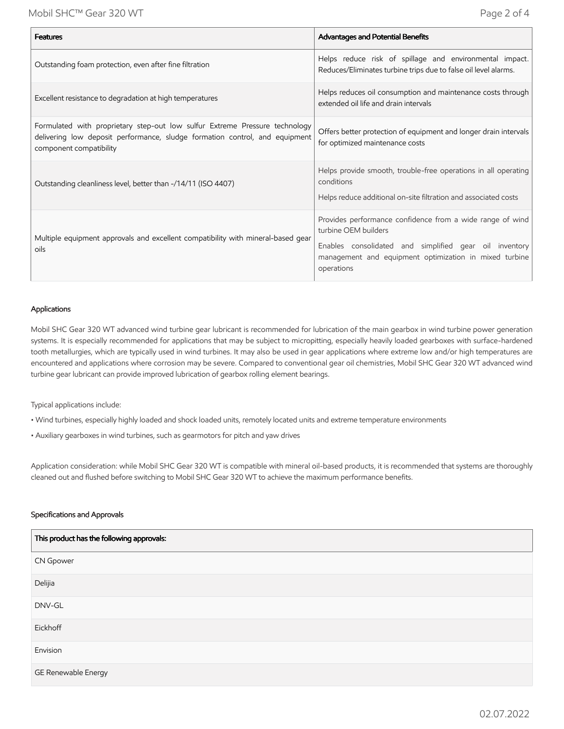| <b>Features</b>                                                                                                                                                                       | Advantages and Potential Benefits                                                                                                                                                                                   |
|---------------------------------------------------------------------------------------------------------------------------------------------------------------------------------------|---------------------------------------------------------------------------------------------------------------------------------------------------------------------------------------------------------------------|
| Outstanding foam protection, even after fine filtration                                                                                                                               | Helps reduce risk of spillage and environmental impact.<br>Reduces/Eliminates turbine trips due to false oil level alarms.                                                                                          |
| Excellent resistance to degradation at high temperatures                                                                                                                              | Helps reduces oil consumption and maintenance costs through<br>extended oil life and drain intervals                                                                                                                |
| Formulated with proprietary step-out low sulfur Extreme Pressure technology<br>delivering low deposit performance, sludge formation control, and equipment<br>component compatibility | Offers better protection of equipment and longer drain intervals<br>for optimized maintenance costs                                                                                                                 |
| Outstanding cleanliness level, better than -/14/11 (ISO 4407)                                                                                                                         | Helps provide smooth, trouble-free operations in all operating<br>conditions<br>Helps reduce additional on-site filtration and associated costs                                                                     |
| Multiple equipment approvals and excellent compatibility with mineral-based gear<br>oils                                                                                              | Provides performance confidence from a wide range of wind<br>turbine OEM builders<br>Enables consolidated and simplified gear oil inventory<br>management and equipment optimization in mixed turbine<br>operations |

#### Applications

Mobil SHC Gear 320 WT advanced wind turbine gear lubricant is recommended for lubrication of the main gearbox in wind turbine power generation systems. It is especially recommended for applications that may be subject to micropitting, especially heavily loaded gearboxes with surface-hardened tooth metallurgies, which are typically used in wind turbines. It may also be used in gear applications where extreme low and/or high temperatures are encountered and applications where corrosion may be severe. Compared to conventional gear oil chemistries, Mobil SHC Gear 320 WT advanced wind turbine gear lubricant can provide improved lubrication of gearbox rolling element bearings.

Typical applications include:

- Wind turbines, especially highly loaded and shock loaded units, remotely located units and extreme temperature environments
- Auxiliary gearboxes in wind turbines, such as gearmotors for pitch and yaw drives

Application consideration: while Mobil SHC Gear 320 WT is compatible with mineral oil-based products, it is recommended that systems are thoroughly cleaned out and flushed before switching to Mobil SHC Gear 320 WT to achieve the maximum performance benefits.

#### Specifications and Approvals

| This product has the following approvals: |
|-------------------------------------------|
| <b>CN Gpower</b>                          |
| Delijia                                   |
| DNV-GL                                    |
| Eickhoff                                  |
| Envision                                  |
| GE Renewable Energy                       |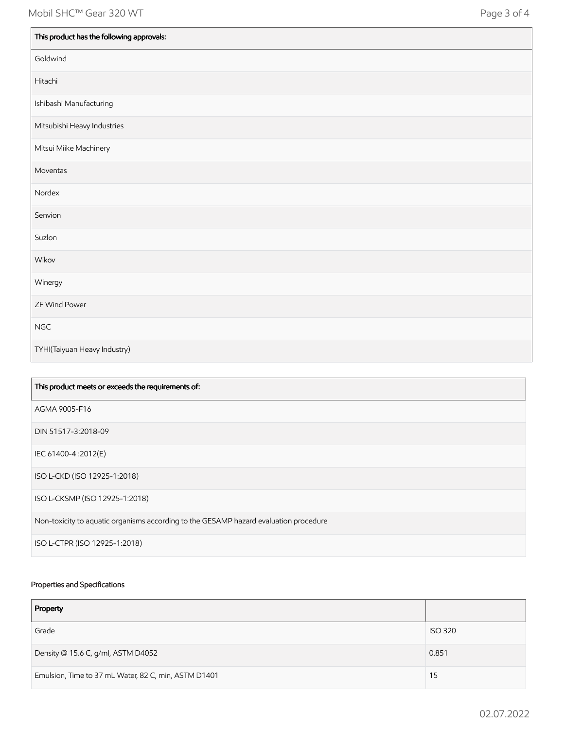| This product has the following approvals: |
|-------------------------------------------|
| Goldwind                                  |
| Hitachi                                   |
| Ishibashi Manufacturing                   |
| Mitsubishi Heavy Industries               |
| Mitsui Miike Machinery                    |
| Moventas                                  |
| Nordex                                    |
| Senvion                                   |
| Suzlon                                    |
| Wikov                                     |
| Winergy                                   |
| ZF Wind Power                             |
| <b>NGC</b>                                |
| TYHI(Taiyuan Heavy Industry)              |

| This product meets or exceeds the requirements of:                                    |
|---------------------------------------------------------------------------------------|
| AGMA 9005-F16                                                                         |
| DIN 51517-3:2018-09                                                                   |
| IEC 61400-4:2012(E)                                                                   |
| ISO L-CKD (ISO 12925-1:2018)                                                          |
| ISO L-CKSMP (ISO 12925-1:2018)                                                        |
| Non-toxicity to aquatic organisms according to the GESAMP hazard evaluation procedure |
| ISO L-CTPR (ISO 12925-1:2018)                                                         |

## Properties and Specifications

| Property                                             |                |
|------------------------------------------------------|----------------|
| Grade                                                | <b>ISO 320</b> |
| Density @ 15.6 C, g/ml, ASTM D4052                   | 0.851          |
| Emulsion, Time to 37 mL Water, 82 C, min, ASTM D1401 | 15             |